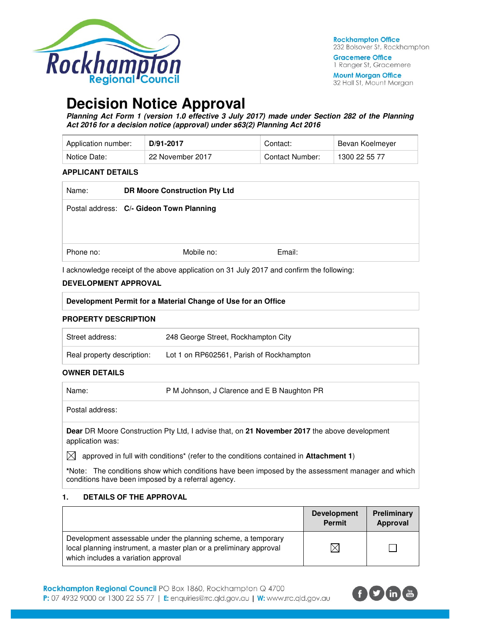

**Gracemere Office** 1 Ranger St, Gracemere

**Mount Morgan Office** 32 Hall St, Mount Morgan

# **Decision Notice Approval**

**Planning Act Form 1 (version 1.0 effective 3 July 2017) made under Section 282 of the Planning Act 2016 for a decision notice (approval) under s63(2) Planning Act 2016** 

| Application number: | D/91-2017        | Contact:        | Bevan Koelmever |
|---------------------|------------------|-----------------|-----------------|
| Notice Date:        | 22 November 2017 | Contact Number: | 1300 22 55 77   |

#### **APPLICANT DETAILS**

| Name:     | <b>DR Moore Construction Pty Ltd</b>     |        |
|-----------|------------------------------------------|--------|
|           | Postal address: C/- Gideon Town Planning |        |
| Phone no: | Mobile no:                               | Email: |

I acknowledge receipt of the above application on 31 July 2017 and confirm the following:

#### **DEVELOPMENT APPROVAL**

| Development Permit for a Material Change of Use for an Office |                                          |  |
|---------------------------------------------------------------|------------------------------------------|--|
| <b>PROPERTY DESCRIPTION</b>                                   |                                          |  |
| Street address:                                               | 248 George Street, Rockhampton City      |  |
| Real property description:                                    | Lot 1 on RP602561, Parish of Rockhampton |  |

#### **OWNER DETAILS**

| Name: | P M Johnson, J Clarence and E B Naughton PR |
|-------|---------------------------------------------|
|       |                                             |

Postal address:

**Dear** DR Moore Construction Pty Ltd, I advise that, on **21 November 2017** the above development application was:

 $\boxtimes$  approved in full with conditions<sup>\*</sup> (refer to the conditions contained in **Attachment 1**)

**\***Note:The conditions show which conditions have been imposed by the assessment manager and which conditions have been imposed by a referral agency.

#### **1. DETAILS OF THE APPROVAL**

|                                                                                                                                                                            | <b>Development</b><br><b>Permit</b> | Preliminary<br>Approval |
|----------------------------------------------------------------------------------------------------------------------------------------------------------------------------|-------------------------------------|-------------------------|
| Development assessable under the planning scheme, a temporary<br>local planning instrument, a master plan or a preliminary approval<br>which includes a variation approval | $\times$                            |                         |

Rockhampton Regional Council PO Box 1860, Rockhampton Q 4700 P: 07 4932 9000 or 1300 22 55 77 | E: enquiries@rrc.qld.gov.au | W: www.rrc.qld.gov.au

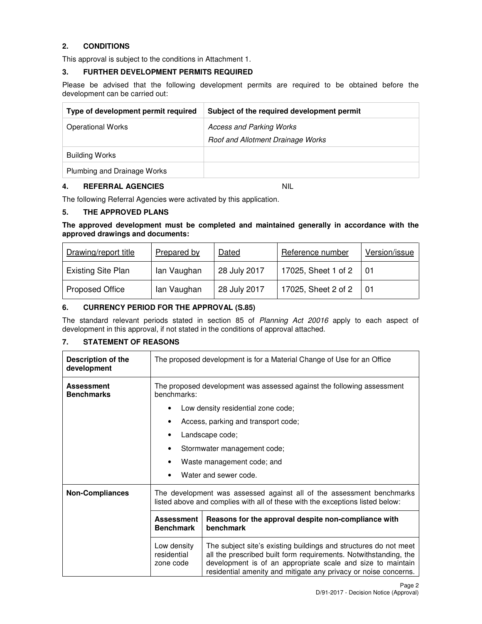# **2. CONDITIONS**

This approval is subject to the conditions in Attachment 1.

#### **3. FURTHER DEVELOPMENT PERMITS REQUIRED**

Please be advised that the following development permits are required to be obtained before the development can be carried out:

| Type of development permit required | Subject of the required development permit |
|-------------------------------------|--------------------------------------------|
| <b>Operational Works</b>            | <b>Access and Parking Works</b>            |
|                                     | Roof and Allotment Drainage Works          |
| <b>Building Works</b>               |                                            |
| Plumbing and Drainage Works         |                                            |

#### **4. REFERRAL AGENCIES** NIL

The following Referral Agencies were activated by this application.

#### **5. THE APPROVED PLANS**

**The approved development must be completed and maintained generally in accordance with the approved drawings and documents:** 

| Drawing/report title      | Prepared by | Dated        | Reference number    | Version/issue |
|---------------------------|-------------|--------------|---------------------|---------------|
| <b>Existing Site Plan</b> | lan Vaughan | 28 July 2017 | 17025, Sheet 1 of 2 | l 01          |
| <b>Proposed Office</b>    | lan Vaughan | 28 July 2017 | 17025, Sheet 2 of 2 | - 01          |

# **6. CURRENCY PERIOD FOR THE APPROVAL (S.85)**

The standard relevant periods stated in section 85 of Planning Act 20016 apply to each aspect of development in this approval, if not stated in the conditions of approval attached.

#### **7. STATEMENT OF REASONS**

| <b>Description of the</b><br>development | The proposed development is for a Material Change of Use for an Office                                                                                 |                                                                                                                                                                                                                                                                        |  |  |
|------------------------------------------|--------------------------------------------------------------------------------------------------------------------------------------------------------|------------------------------------------------------------------------------------------------------------------------------------------------------------------------------------------------------------------------------------------------------------------------|--|--|
| <b>Assessment</b><br><b>Benchmarks</b>   | The proposed development was assessed against the following assessment<br>benchmarks:                                                                  |                                                                                                                                                                                                                                                                        |  |  |
|                                          |                                                                                                                                                        | Low density residential zone code;                                                                                                                                                                                                                                     |  |  |
|                                          |                                                                                                                                                        | Access, parking and transport code;                                                                                                                                                                                                                                    |  |  |
|                                          |                                                                                                                                                        | Landscape code;                                                                                                                                                                                                                                                        |  |  |
|                                          | ٠                                                                                                                                                      | Stormwater management code;                                                                                                                                                                                                                                            |  |  |
|                                          | Waste management code; and<br>٠                                                                                                                        |                                                                                                                                                                                                                                                                        |  |  |
|                                          |                                                                                                                                                        | Water and sewer code.                                                                                                                                                                                                                                                  |  |  |
| <b>Non-Compliances</b>                   | The development was assessed against all of the assessment benchmarks<br>listed above and complies with all of these with the exceptions listed below: |                                                                                                                                                                                                                                                                        |  |  |
|                                          | Reasons for the approval despite non-compliance with<br><b>Assessment</b><br>benchmark<br><b>Benchmark</b>                                             |                                                                                                                                                                                                                                                                        |  |  |
|                                          | Low density<br>residential<br>zone code                                                                                                                | The subject site's existing buildings and structures do not meet<br>all the prescribed built form requirements. Notwithstanding, the<br>development is of an appropriate scale and size to maintain<br>residential amenity and mitigate any privacy or noise concerns. |  |  |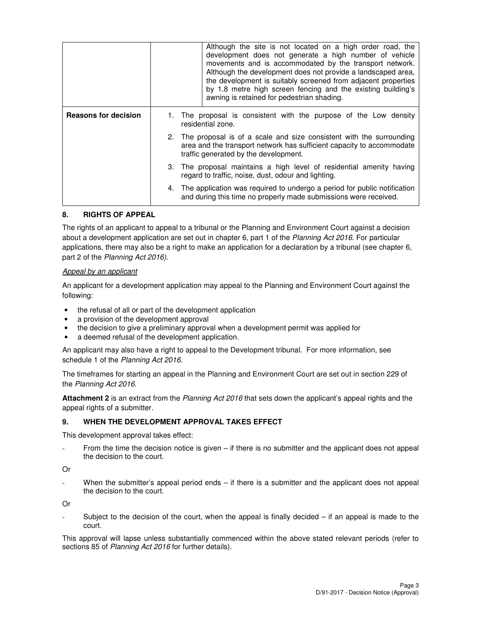|                             | Although the site is not located on a high order road, the<br>development does not generate a high number of vehicle<br>movements and is accommodated by the transport network.<br>Although the development does not provide a landscaped area,<br>the development is suitably screened from adjacent properties<br>by 1.8 metre high screen fencing and the existing building's<br>awning is retained for pedestrian shading. |  |  |
|-----------------------------|--------------------------------------------------------------------------------------------------------------------------------------------------------------------------------------------------------------------------------------------------------------------------------------------------------------------------------------------------------------------------------------------------------------------------------|--|--|
| <b>Reasons for decision</b> | 1. The proposal is consistent with the purpose of the Low density<br>residential zone.                                                                                                                                                                                                                                                                                                                                         |  |  |
|                             | 2. The proposal is of a scale and size consistent with the surrounding<br>area and the transport network has sufficient capacity to accommodate<br>traffic generated by the development.                                                                                                                                                                                                                                       |  |  |
|                             | 3. The proposal maintains a high level of residential amenity having<br>regard to traffic, noise, dust, odour and lighting.                                                                                                                                                                                                                                                                                                    |  |  |
|                             | 4. The application was required to undergo a period for public notification<br>and during this time no properly made submissions were received.                                                                                                                                                                                                                                                                                |  |  |

#### **8. RIGHTS OF APPEAL**

The rights of an applicant to appeal to a tribunal or the Planning and Environment Court against a decision about a development application are set out in chapter 6, part 1 of the Planning Act 2016. For particular applications, there may also be a right to make an application for a declaration by a tribunal (see chapter 6, part 2 of the Planning Act 2016).

#### Appeal by an applicant

An applicant for a development application may appeal to the Planning and Environment Court against the following:

- the refusal of all or part of the development application
- a provision of the development approval
- the decision to give a preliminary approval when a development permit was applied for
- a deemed refusal of the development application.

An applicant may also have a right to appeal to the Development tribunal. For more information, see schedule 1 of the Planning Act 2016.

The timeframes for starting an appeal in the Planning and Environment Court are set out in section 229 of the Planning Act 2016.

**Attachment 2** is an extract from the Planning Act 2016 that sets down the applicant's appeal rights and the appeal rights of a submitter.

#### **9. WHEN THE DEVELOPMENT APPROVAL TAKES EFFECT**

This development approval takes effect:

From the time the decision notice is given – if there is no submitter and the applicant does not appeal the decision to the court.

Or

When the submitter's appeal period ends – if there is a submitter and the applicant does not appeal the decision to the court.

Or

Subject to the decision of the court, when the appeal is finally decided  $-$  if an appeal is made to the court.

This approval will lapse unless substantially commenced within the above stated relevant periods (refer to sections 85 of Planning Act 2016 for further details).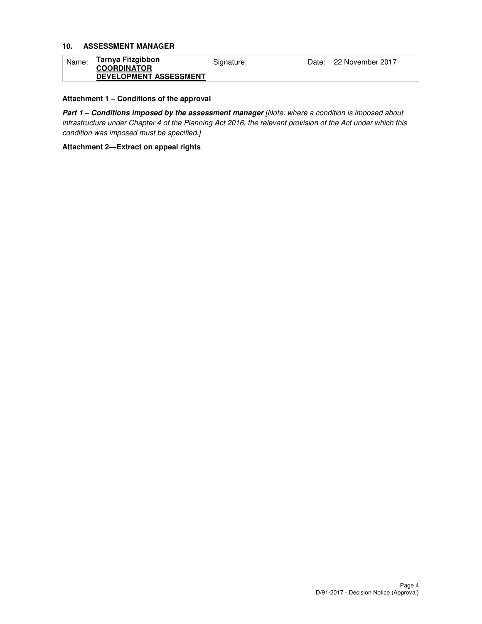#### **10. ASSESSMENT MANAGER**

| Name: | Tarnya Fitzgibbon<br><b>COORDINATOR</b> | Signature: | Date: 22 November 2017 |
|-------|-----------------------------------------|------------|------------------------|
|       | <b>DEVELOPMENT ASSESSMENT</b>           |            |                        |

#### **Attachment 1 – Conditions of the approval**

Part 1 - Conditions imposed by the assessment manager [Note: where a condition is imposed about infrastructure under Chapter 4 of the Planning Act 2016, the relevant provision of the Act under which this condition was imposed must be specified.]

**Attachment 2—Extract on appeal rights**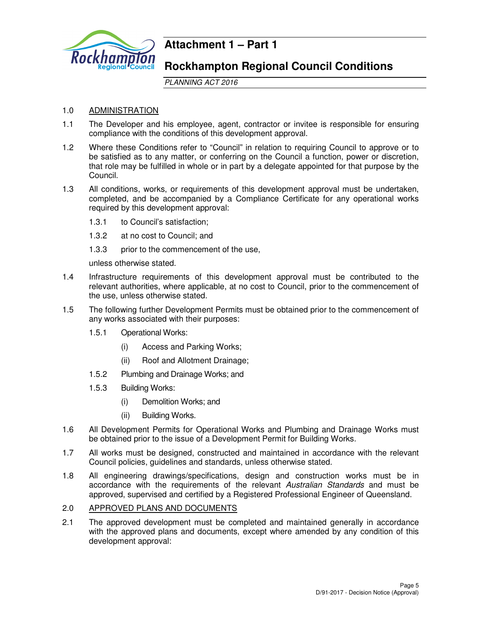

# **Attachment 1 – Part 1**

# **Rockhampton Regional Council Conditions**

PLANNING ACT 2016

# 1.0 ADMINISTRATION

- 1.1 The Developer and his employee, agent, contractor or invitee is responsible for ensuring compliance with the conditions of this development approval.
- 1.2 Where these Conditions refer to "Council" in relation to requiring Council to approve or to be satisfied as to any matter, or conferring on the Council a function, power or discretion, that role may be fulfilled in whole or in part by a delegate appointed for that purpose by the Council.
- 1.3 All conditions, works, or requirements of this development approval must be undertaken, completed, and be accompanied by a Compliance Certificate for any operational works required by this development approval:
	- 1.3.1 to Council's satisfaction;
	- 1.3.2 at no cost to Council; and
	- 1.3.3 prior to the commencement of the use,

unless otherwise stated.

- 1.4 Infrastructure requirements of this development approval must be contributed to the relevant authorities, where applicable, at no cost to Council, prior to the commencement of the use, unless otherwise stated.
- 1.5 The following further Development Permits must be obtained prior to the commencement of any works associated with their purposes:
	- 1.5.1 Operational Works:
		- (i) Access and Parking Works;
		- (ii) Roof and Allotment Drainage;
	- 1.5.2 Plumbing and Drainage Works; and
	- 1.5.3 Building Works:
		- (i) Demolition Works; and
		- (ii) Building Works.
- 1.6 All Development Permits for Operational Works and Plumbing and Drainage Works must be obtained prior to the issue of a Development Permit for Building Works.
- 1.7 All works must be designed, constructed and maintained in accordance with the relevant Council policies, guidelines and standards, unless otherwise stated.
- 1.8 All engineering drawings/specifications, design and construction works must be in accordance with the requirements of the relevant Australian Standards and must be approved, supervised and certified by a Registered Professional Engineer of Queensland.

# 2.0 APPROVED PLANS AND DOCUMENTS

2.1 The approved development must be completed and maintained generally in accordance with the approved plans and documents, except where amended by any condition of this development approval: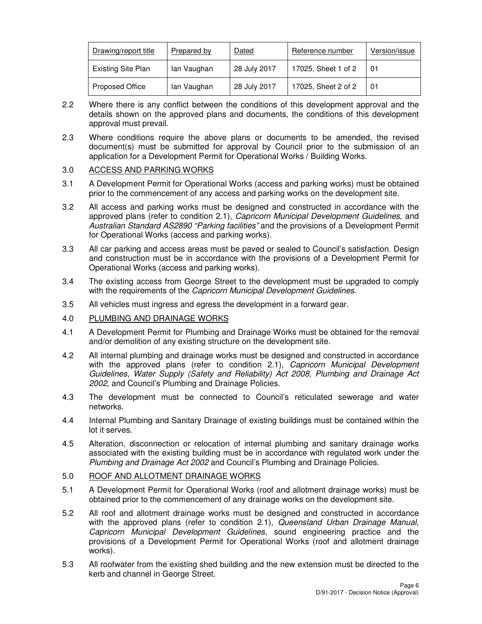| Drawing/report title      | Prepared by | Dated        | Reference number    | Version/issue |
|---------------------------|-------------|--------------|---------------------|---------------|
| <b>Existing Site Plan</b> | lan Vaughan | 28 July 2017 | 17025, Sheet 1 of 2 | 01            |
| Proposed Office           | lan Vaughan | 28 July 2017 | 17025, Sheet 2 of 2 | 01            |

- 2.2 Where there is any conflict between the conditions of this development approval and the details shown on the approved plans and documents, the conditions of this development approval must prevail.
- 2.3 Where conditions require the above plans or documents to be amended, the revised document(s) must be submitted for approval by Council prior to the submission of an application for a Development Permit for Operational Works / Building Works.

# 3.0 ACCESS AND PARKING WORKS

- 3.1 A Development Permit for Operational Works (access and parking works) must be obtained prior to the commencement of any access and parking works on the development site.
- 3.2 All access and parking works must be designed and constructed in accordance with the approved plans (refer to condition 2.1), Capricorn Municipal Development Guidelines, and Australian Standard AS2890 "Parking facilities" and the provisions of a Development Permit for Operational Works (access and parking works).
- 3.3 All car parking and access areas must be paved or sealed to Council's satisfaction. Design and construction must be in accordance with the provisions of a Development Permit for Operational Works (access and parking works).
- 3.4 The existing access from George Street to the development must be upgraded to comply with the requirements of the Capricorn Municipal Development Guidelines.
- 3.5 All vehicles must ingress and egress the development in a forward gear.
- 4.0 PLUMBING AND DRAINAGE WORKS
- 4.1 A Development Permit for Plumbing and Drainage Works must be obtained for the removal and/or demolition of any existing structure on the development site.
- 4.2 All internal plumbing and drainage works must be designed and constructed in accordance with the approved plans (refer to condition 2.1), Capricorn Municipal Development Guidelines, Water Supply (Safety and Reliability) Act 2008, Plumbing and Drainage Act 2002, and Council's Plumbing and Drainage Policies.
- 4.3 The development must be connected to Council's reticulated sewerage and water networks.
- 4.4 Internal Plumbing and Sanitary Drainage of existing buildings must be contained within the lot it serves.
- 4.5 Alteration, disconnection or relocation of internal plumbing and sanitary drainage works associated with the existing building must be in accordance with regulated work under the Plumbing and Drainage Act 2002 and Council's Plumbing and Drainage Policies.
- 5.0 ROOF AND ALLOTMENT DRAINAGE WORKS
- 5.1 A Development Permit for Operational Works (roof and allotment drainage works) must be obtained prior to the commencement of any drainage works on the development site.
- 5.2 All roof and allotment drainage works must be designed and constructed in accordance with the approved plans (refer to condition 2.1), Queensland Urban Drainage Manual, Capricorn Municipal Development Guidelines, sound engineering practice and the provisions of a Development Permit for Operational Works (roof and allotment drainage works).
- 5.3 All roofwater from the existing shed building and the new extension must be directed to the kerb and channel in George Street.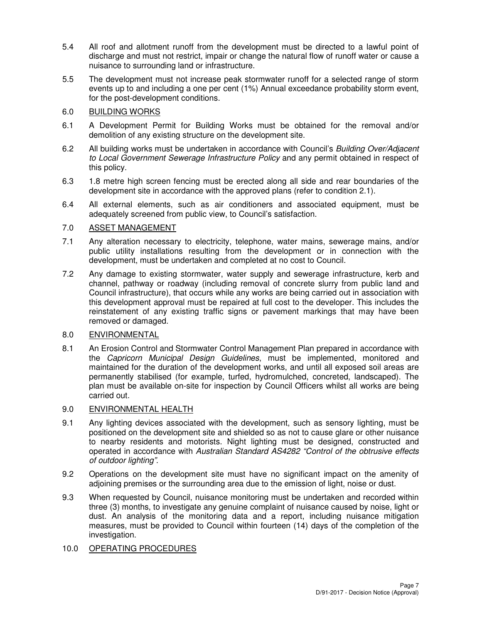- 5.4 All roof and allotment runoff from the development must be directed to a lawful point of discharge and must not restrict, impair or change the natural flow of runoff water or cause a nuisance to surrounding land or infrastructure.
- 5.5 The development must not increase peak stormwater runoff for a selected range of storm events up to and including a one per cent (1%) Annual exceedance probability storm event, for the post-development conditions.

# 6.0 BUILDING WORKS

- 6.1 A Development Permit for Building Works must be obtained for the removal and/or demolition of any existing structure on the development site.
- 6.2 All building works must be undertaken in accordance with Council's Building Over/Adjacent to Local Government Sewerage Infrastructure Policy and any permit obtained in respect of this policy.
- 6.3 1.8 metre high screen fencing must be erected along all side and rear boundaries of the development site in accordance with the approved plans (refer to condition 2.1).
- 6.4 All external elements, such as air conditioners and associated equipment, must be adequately screened from public view, to Council's satisfaction.

# 7.0 ASSET MANAGEMENT

- 7.1 Any alteration necessary to electricity, telephone, water mains, sewerage mains, and/or public utility installations resulting from the development or in connection with the development, must be undertaken and completed at no cost to Council.
- 7.2 Any damage to existing stormwater, water supply and sewerage infrastructure, kerb and channel, pathway or roadway (including removal of concrete slurry from public land and Council infrastructure), that occurs while any works are being carried out in association with this development approval must be repaired at full cost to the developer. This includes the reinstatement of any existing traffic signs or pavement markings that may have been removed or damaged.

# 8.0 ENVIRONMENTAL

8.1 An Erosion Control and Stormwater Control Management Plan prepared in accordance with the Capricorn Municipal Design Guidelines, must be implemented, monitored and maintained for the duration of the development works, and until all exposed soil areas are permanently stabilised (for example, turfed, hydromulched, concreted, landscaped). The plan must be available on-site for inspection by Council Officers whilst all works are being carried out.

# 9.0 ENVIRONMENTAL HEALTH

- 9.1 Any lighting devices associated with the development, such as sensory lighting, must be positioned on the development site and shielded so as not to cause glare or other nuisance to nearby residents and motorists. Night lighting must be designed, constructed and operated in accordance with Australian Standard AS4282 "Control of the obtrusive effects of outdoor lighting".
- 9.2 Operations on the development site must have no significant impact on the amenity of adjoining premises or the surrounding area due to the emission of light, noise or dust.
- 9.3 When requested by Council, nuisance monitoring must be undertaken and recorded within three (3) months, to investigate any genuine complaint of nuisance caused by noise, light or dust. An analysis of the monitoring data and a report, including nuisance mitigation measures, must be provided to Council within fourteen (14) days of the completion of the investigation.

# 10.0 OPERATING PROCEDURES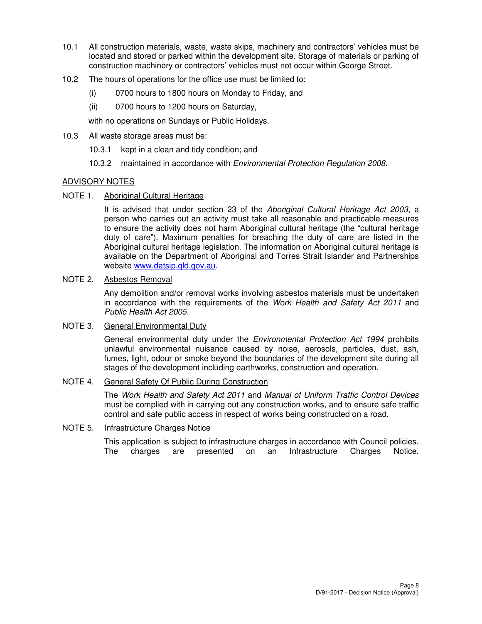- 10.1 All construction materials, waste, waste skips, machinery and contractors' vehicles must be located and stored or parked within the development site. Storage of materials or parking of construction machinery or contractors' vehicles must not occur within George Street.
- 10.2 The hours of operations for the office use must be limited to:
	- (i) 0700 hours to 1800 hours on Monday to Friday, and
	- (ii) 0700 hours to 1200 hours on Saturday,

with no operations on Sundays or Public Holidays.

- 10.3 All waste storage areas must be:
	- 10.3.1 kept in a clean and tidy condition; and
	- 10.3.2 maintained in accordance with *Environmental Protection Regulation 2008*.

#### ADVISORY NOTES

NOTE 1. Aboriginal Cultural Heritage

It is advised that under section 23 of the Aboriginal Cultural Heritage Act 2003, a person who carries out an activity must take all reasonable and practicable measures to ensure the activity does not harm Aboriginal cultural heritage (the "cultural heritage duty of care"). Maximum penalties for breaching the duty of care are listed in the Aboriginal cultural heritage legislation. The information on Aboriginal cultural heritage is available on the Department of Aboriginal and Torres Strait Islander and Partnerships website www.datsip.gld.gov.au.

#### NOTE 2. Asbestos Removal

Any demolition and/or removal works involving asbestos materials must be undertaken in accordance with the requirements of the Work Health and Safety Act 2011 and Public Health Act 2005.

# NOTE 3. General Environmental Duty

General environmental duty under the *Environmental Protection Act 1994* prohibits unlawful environmental nuisance caused by noise, aerosols, particles, dust, ash, fumes, light, odour or smoke beyond the boundaries of the development site during all stages of the development including earthworks, construction and operation.

## NOTE 4. General Safety Of Public During Construction

The Work Health and Safety Act 2011 and Manual of Uniform Traffic Control Devices must be complied with in carrying out any construction works, and to ensure safe traffic control and safe public access in respect of works being constructed on a road.

#### NOTE 5. Infrastructure Charges Notice

This application is subject to infrastructure charges in accordance with Council policies. The charges are presented on an Infrastructure Charges Notice.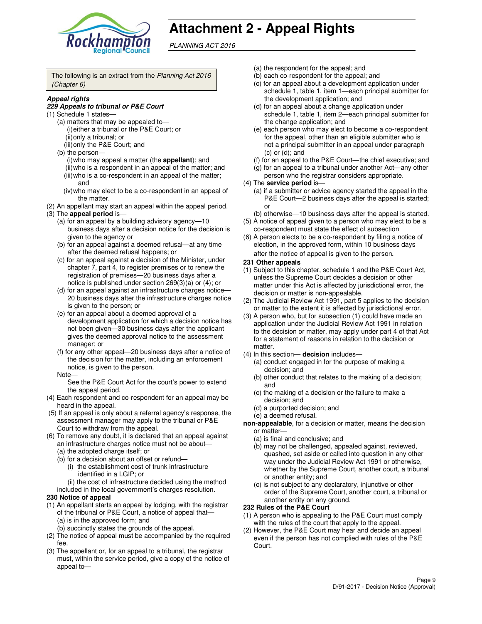

# **Attachment 2 - Appeal Rights**

PLANNING ACT 2016

The following is an extract from the Planning Act 2016 (Chapter 6)

#### **Appeal rights**

#### **229 Appeals to tribunal or P&E Court**

- (1) Schedule 1 states—
	- (a) matters that may be appealed to— (i) either a tribunal or the P&E Court; or (ii) only a tribunal; or
	- (iii) only the P&E Court; and
	- (b) the person—
		- (i) who may appeal a matter (the **appellant**); and
		- (ii) who is a respondent in an appeal of the matter; and (iii) who is a co-respondent in an appeal of the matter; and
		- (iv) who may elect to be a co-respondent in an appeal of the matter.
- (2) An appellant may start an appeal within the appeal period.
- (3) The **appeal period** is—
	- (a) for an appeal by a building advisory agency—10 business days after a decision notice for the decision is given to the agency or
	- (b) for an appeal against a deemed refusal—at any time after the deemed refusal happens; or
	- (c) for an appeal against a decision of the Minister, under chapter 7, part 4, to register premises or to renew the registration of premises—20 business days after a notice is published under section 269(3)(a) or (4); or
	- (d) for an appeal against an infrastructure charges notice— 20 business days after the infrastructure charges notice is given to the person; or
	- (e) for an appeal about a deemed approval of a development application for which a decision notice has not been given—30 business days after the applicant gives the deemed approval notice to the assessment manager; or
	- (f) for any other appeal—20 business days after a notice of the decision for the matter, including an enforcement notice, is given to the person.
	- Note—

See the P&E Court Act for the court's power to extend the appeal period.

- (4) Each respondent and co-respondent for an appeal may be heard in the appeal.
- (5) If an appeal is only about a referral agency's response, the assessment manager may apply to the tribunal or P&E Court to withdraw from the appeal.
- (6) To remove any doubt, it is declared that an appeal against an infrastructure charges notice must not be about—
	- (a) the adopted charge itself; or
	- (b) for a decision about an offset or refund— (i) the establishment cost of trunk infrastructure
		- identified in a LGIP; or

(ii) the cost of infrastructure decided using the method included in the local government's charges resolution.

#### **230 Notice of appeal**

- (1) An appellant starts an appeal by lodging, with the registrar of the tribunal or P&E Court, a notice of appeal that— (a) is in the approved form; and
	- (b) succinctly states the grounds of the appeal.
- (2) The notice of appeal must be accompanied by the required fee.
- (3) The appellant or, for an appeal to a tribunal, the registrar must, within the service period, give a copy of the notice of appeal to—
- (a) the respondent for the appeal; and
- (b) each co-respondent for the appeal; and
- (c) for an appeal about a development application under schedule 1, table 1, item 1—each principal submitter for the development application; and
- (d) for an appeal about a change application under schedule 1, table 1, item 2—each principal submitter for the change application; and
- (e) each person who may elect to become a co-respondent for the appeal, other than an eligible submitter who is not a principal submitter in an appeal under paragraph  $(c)$  or  $(d)$ ; and
- (f) for an appeal to the P&E Court—the chief executive; and
- (g) for an appeal to a tribunal under another Act—any other person who the registrar considers appropriate.
- (4) The **service period** is—
	- (a) if a submitter or advice agency started the appeal in the P&E Court—2 business days after the appeal is started; or
	- (b) otherwise—10 business days after the appeal is started.
- (5) A notice of appeal given to a person who may elect to be a co-respondent must state the effect of subsection
- (6) A person elects to be a co-respondent by filing a notice of election, in the approved form, within 10 business days after the notice of appeal is given to the person*.*
- **231 Other appeals**
- (1) Subject to this chapter, schedule 1 and the P&E Court Act, unless the Supreme Court decides a decision or other matter under this Act is affected by jurisdictional error, the decision or matter is non-appealable.
- (2) The Judicial Review Act 1991, part 5 applies to the decision or matter to the extent it is affected by jurisdictional error.
- (3) A person who, but for subsection (1) could have made an application under the Judicial Review Act 1991 in relation to the decision or matter, may apply under part 4 of that Act for a statement of reasons in relation to the decision or matter.
- (4) In this section— **decision** includes—
	- (a) conduct engaged in for the purpose of making a decision; and
	- (b) other conduct that relates to the making of a decision; and
	- (c) the making of a decision or the failure to make a decision; and
	- (d) a purported decision; and
	- (e) a deemed refusal.
- **non-appealable**, for a decision or matter, means the decision or matter—
	- (a) is final and conclusive; and
	- (b) may not be challenged, appealed against, reviewed, quashed, set aside or called into question in any other way under the Judicial Review Act 1991 or otherwise, whether by the Supreme Court, another court, a tribunal or another entity; and
	- (c) is not subject to any declaratory, injunctive or other order of the Supreme Court, another court, a tribunal or another entity on any ground.

#### **232 Rules of the P&E Court**

- (1) A person who is appealing to the P&E Court must comply with the rules of the court that apply to the appeal.
- (2) However, the P&E Court may hear and decide an appeal even if the person has not complied with rules of the P&E Court.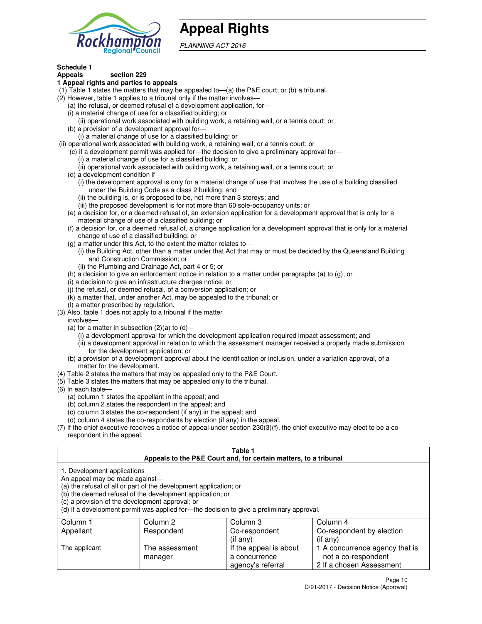

# **Appeal Rights**

PLANNING ACT 2016

#### **Schedule 1 Appeals section 229**

# **1 Appeal rights and parties to appeals**

- (1) Table 1 states the matters that may be appealed to—(a) the P&E court; or (b) a tribunal.
- (2) However, table 1 applies to a tribunal only if the matter involves—
	- (a) the refusal, or deemed refusal of a development application, for—
	- (i) a material change of use for a classified building; or
	- (ii) operational work associated with building work, a retaining wall, or a tennis court; or (b) a provision of a development approval for—
	- (i) a material change of use for a classified building; or
- (ii) operational work associated with building work, a retaining wall, or a tennis court; or
	- (c) if a development permit was applied for—the decision to give a preliminary approval for—
		- (i) a material change of use for a classified building; or
		- (ii) operational work associated with building work, a retaining wall, or a tennis court; or
	- (d) a development condition if—
		- (i) the development approval is only for a material change of use that involves the use of a building classified under the Building Code as a class 2 building; and
		- (ii) the building is, or is proposed to be, not more than 3 storeys; and
		- (iii) the proposed development is for not more than 60 sole-occupancy units; or
	- (e) a decision for, or a deemed refusal of, an extension application for a development approval that is only for a material change of use of a classified building; or
	- (f) a decision for, or a deemed refusal of, a change application for a development approval that is only for a material change of use of a classified building; or
	- (g) a matter under this Act, to the extent the matter relates to—
		- (i) the Building Act, other than a matter under that Act that may or must be decided by the Queensland Building and Construction Commission; or
		- (ii) the Plumbing and Drainage Act, part 4 or 5; or
	- (h) a decision to give an enforcement notice in relation to a matter under paragraphs (a) to (g); or
	- (i) a decision to give an infrastructure charges notice; or
	- (j) the refusal, or deemed refusal, of a conversion application; or
	- (k) a matter that, under another Act, may be appealed to the tribunal; or
	- (l) a matter prescribed by regulation.
- (3) Also, table 1 does not apply to a tribunal if the matter
- involves—
	- (a) for a matter in subsection  $(2)(a)$  to  $(d)$ 
		- (i) a development approval for which the development application required impact assessment; and
		- (ii) a development approval in relation to which the assessment manager received a properly made submission for the development application; or
	- (b) a provision of a development approval about the identification or inclusion, under a variation approval, of a matter for the development.
- (4) Table 2 states the matters that may be appealed only to the P&E Court.
- (5) Table 3 states the matters that may be appealed only to the tribunal.
- (6) In each table—
	- (a) column 1 states the appellant in the appeal; and
	- (b) column 2 states the respondent in the appeal; and
	- (c) column 3 states the co-respondent (if any) in the appeal; and
	- (d) column 4 states the co-respondents by election (if any) in the appeal.
- (7) If the chief executive receives a notice of appeal under section 230(3)(f), the chief executive may elect to be a corespondent in the appeal.

# **Table 1**

|                                                                                                                  |                                                                                                                                | Appeals to the P&E Court and, for certain matters, to a tribunal                         |                                |
|------------------------------------------------------------------------------------------------------------------|--------------------------------------------------------------------------------------------------------------------------------|------------------------------------------------------------------------------------------|--------------------------------|
| 1. Development applications<br>An appeal may be made against-<br>(c) a provision of the development approval; or | (a) the refusal of all or part of the development application; or<br>(b) the deemed refusal of the development application; or | (d) if a development permit was applied for—the decision to give a preliminary approval. |                                |
| Column 1                                                                                                         | Column 2                                                                                                                       | Column 3                                                                                 | Column 4                       |
| Appellant                                                                                                        | Respondent                                                                                                                     | Co-respondent                                                                            | Co-respondent by election      |
|                                                                                                                  |                                                                                                                                | $($ if any $)$                                                                           | $($ if any $)$                 |
| The applicant                                                                                                    | The assessment                                                                                                                 | If the appeal is about                                                                   | 1 A concurrence agency that is |
|                                                                                                                  | manager                                                                                                                        | a concurrence                                                                            | not a co-respondent            |

agency's referral

2 If a chosen Assessment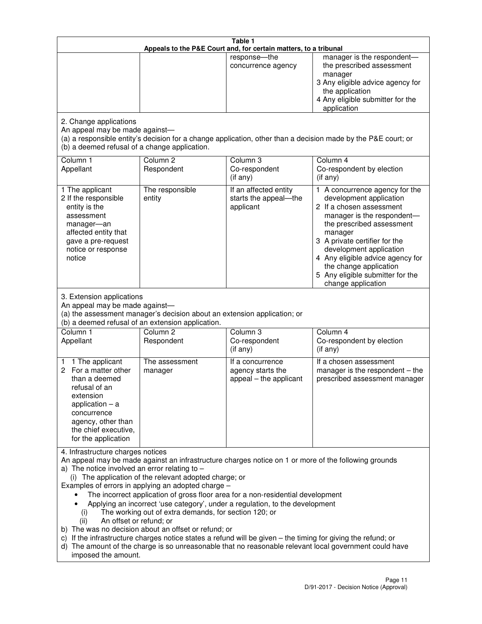|                                                                                                                                                                                                      |                                                                                                                                                                                                                               | Table 1<br>Appeals to the P&E Court and, for certain matters, to a tribunal                                                                                                                                                                                                     |                                                                                                                                                                                                                                                                                                                                                 |
|------------------------------------------------------------------------------------------------------------------------------------------------------------------------------------------------------|-------------------------------------------------------------------------------------------------------------------------------------------------------------------------------------------------------------------------------|---------------------------------------------------------------------------------------------------------------------------------------------------------------------------------------------------------------------------------------------------------------------------------|-------------------------------------------------------------------------------------------------------------------------------------------------------------------------------------------------------------------------------------------------------------------------------------------------------------------------------------------------|
|                                                                                                                                                                                                      |                                                                                                                                                                                                                               | response-the<br>concurrence agency                                                                                                                                                                                                                                              | manager is the respondent-<br>the prescribed assessment<br>manager<br>3 Any eligible advice agency for<br>the application<br>4 Any eligible submitter for the<br>application                                                                                                                                                                    |
| 2. Change applications<br>An appeal may be made against-<br>(b) a deemed refusal of a change application.                                                                                            |                                                                                                                                                                                                                               |                                                                                                                                                                                                                                                                                 | (a) a responsible entity's decision for a change application, other than a decision made by the P&E court; or                                                                                                                                                                                                                                   |
| Column 1<br>Appellant                                                                                                                                                                                | Column <sub>2</sub><br>Respondent                                                                                                                                                                                             | Column 3<br>Co-respondent<br>(if any)                                                                                                                                                                                                                                           | Column 4<br>Co-respondent by election<br>(if any)                                                                                                                                                                                                                                                                                               |
| 1 The applicant<br>2 If the responsible<br>entity is the<br>assessment<br>manager-an<br>affected entity that<br>gave a pre-request<br>notice or response<br>notice                                   | The responsible<br>entity                                                                                                                                                                                                     | If an affected entity<br>starts the appeal-the<br>applicant                                                                                                                                                                                                                     | 1 A concurrence agency for the<br>development application<br>2 If a chosen assessment<br>manager is the respondent-<br>the prescribed assessment<br>manager<br>3 A private certifier for the<br>development application<br>4 Any eligible advice agency for<br>the change application<br>5 Any eligible submitter for the<br>change application |
| 3. Extension applications<br>An appeal may be made against-<br>Column 1<br>Appellant                                                                                                                 | (a) the assessment manager's decision about an extension application; or<br>(b) a deemed refusal of an extension application.<br>Column <sub>2</sub><br>Respondent                                                            | Column 3<br>Co-respondent                                                                                                                                                                                                                                                       | Column 4<br>Co-respondent by election                                                                                                                                                                                                                                                                                                           |
| 1 The applicant<br>1<br>2 For a matter other<br>than a deemed<br>refusal of an<br>extension<br>application $-$ a<br>concurrence<br>agency, other than<br>the chief executive,<br>for the application | The assessment<br>manager                                                                                                                                                                                                     | (if any)<br>If a concurrence<br>agency starts the<br>appeal - the applicant                                                                                                                                                                                                     | (if any)<br>If a chosen assessment<br>manager is the respondent $-$ the<br>prescribed assessment manager                                                                                                                                                                                                                                        |
| 4. Infrastructure charges notices<br>a) The notice involved an error relating to $-$<br>(i)<br>An offset or refund; or<br>(ii)<br>imposed the amount.                                                | (i) The application of the relevant adopted charge; or<br>Examples of errors in applying an adopted charge -<br>The working out of extra demands, for section 120; or<br>b) The was no decision about an offset or refund; or | The incorrect application of gross floor area for a non-residential development<br>Applying an incorrect 'use category', under a regulation, to the development<br>c) If the infrastructure charges notice states a refund will be given - the timing for giving the refund; or | An appeal may be made against an infrastructure charges notice on 1 or more of the following grounds<br>d) The amount of the charge is so unreasonable that no reasonable relevant local government could have                                                                                                                                  |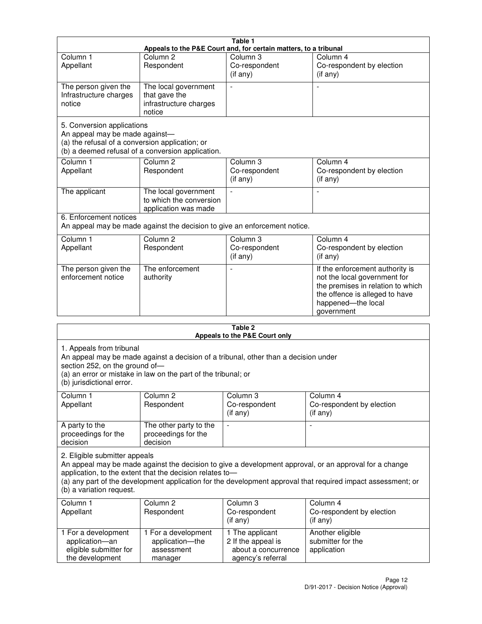|                                                                                                                 |                                                                           | Table 1                                                          |                                                                                                                                                                            |
|-----------------------------------------------------------------------------------------------------------------|---------------------------------------------------------------------------|------------------------------------------------------------------|----------------------------------------------------------------------------------------------------------------------------------------------------------------------------|
|                                                                                                                 |                                                                           | Appeals to the P&E Court and, for certain matters, to a tribunal |                                                                                                                                                                            |
| Column <sub>1</sub><br>Appellant                                                                                | Column <sub>2</sub><br>Respondent                                         | Column 3<br>Co-respondent<br>(if any)                            | Column 4<br>Co-respondent by election<br>(if any)                                                                                                                          |
| The person given the<br>Infrastructure charges<br>notice                                                        | The local government<br>that gave the<br>infrastructure charges<br>notice |                                                                  |                                                                                                                                                                            |
| 5. Conversion applications<br>An appeal may be made against-<br>(a) the refusal of a conversion application; or | (b) a deemed refusal of a conversion application.                         |                                                                  |                                                                                                                                                                            |
| Column <sub>1</sub><br>Appellant                                                                                | Column <sub>2</sub><br>Respondent                                         | Column <sub>3</sub><br>Co-respondent<br>(if any)                 | Column 4<br>Co-respondent by election<br>(if any)                                                                                                                          |
| The applicant                                                                                                   | The local government<br>to which the conversion<br>application was made   |                                                                  |                                                                                                                                                                            |
| 6. Enforcement notices                                                                                          | An appeal may be made against the decision to give an enforcement notice. |                                                                  |                                                                                                                                                                            |
| Column <sub>1</sub><br>Appellant                                                                                | Column <sub>2</sub><br>Respondent                                         | Column <sub>3</sub><br>Co-respondent<br>(if any)                 | Column 4<br>Co-respondent by election<br>(if any)                                                                                                                          |
| The person given the<br>enforcement notice                                                                      | The enforcement<br>authority                                              |                                                                  | If the enforcement authority is<br>not the local government for<br>the premises in relation to which<br>the offence is alleged to have<br>happened-the local<br>government |
|                                                                                                                 |                                                                           | 9 Ahla                                                           |                                                                                                                                                                            |

| Table 2<br>Appeals to the P&E Court only                                                |                                                                                                                                                       |                                                                                   |                                                                                                                                                                                                                        |
|-----------------------------------------------------------------------------------------|-------------------------------------------------------------------------------------------------------------------------------------------------------|-----------------------------------------------------------------------------------|------------------------------------------------------------------------------------------------------------------------------------------------------------------------------------------------------------------------|
| 1. Appeals from tribunal<br>section 252, on the ground of-<br>(b) jurisdictional error. | An appeal may be made against a decision of a tribunal, other than a decision under<br>(a) an error or mistake in law on the part of the tribunal; or |                                                                                   |                                                                                                                                                                                                                        |
| Column <sub>1</sub><br>Appellant                                                        | Column <sub>2</sub><br>Respondent                                                                                                                     | Column 3<br>Co-respondent<br>(if any)                                             | Column <sub>4</sub><br>Co-respondent by election<br>(if any)                                                                                                                                                           |
| A party to the<br>proceedings for the<br>decision                                       | The other party to the<br>proceedings for the<br>decision                                                                                             | $\blacksquare$                                                                    |                                                                                                                                                                                                                        |
| 2. Eligible submitter appeals<br>(b) a variation request.                               | application, to the extent that the decision relates to-                                                                                              |                                                                                   | An appeal may be made against the decision to give a development approval, or an approval for a change<br>(a) any part of the development application for the development approval that required impact assessment; or |
| Column 1<br>Appellant                                                                   | Column <sub>2</sub><br>Respondent                                                                                                                     | Column <sub>3</sub><br>Co-respondent<br>(i f any)                                 | Column 4<br>Co-respondent by election<br>(i f any)                                                                                                                                                                     |
| 1 For a development<br>application-an<br>eligible submitter for<br>the development      | 1 For a development<br>application-the<br>assessment<br>manager                                                                                       | 1 The applicant<br>2 If the appeal is<br>about a concurrence<br>agency's referral | Another eligible<br>submitter for the<br>application                                                                                                                                                                   |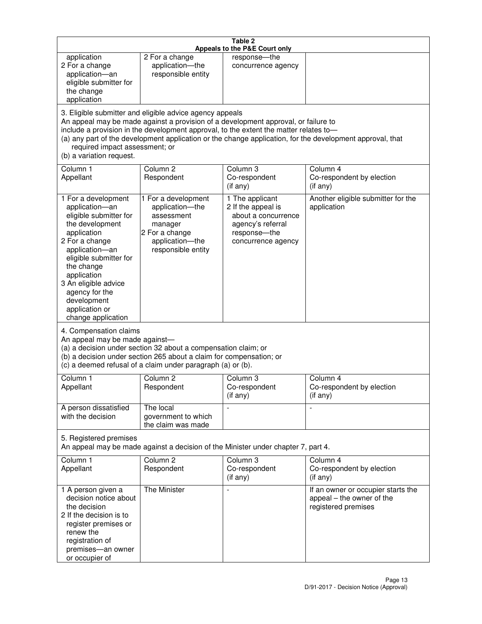|                                                                                                                                                                                                                                                                                               |                                                                                                                                                                                                                                         | Table 2<br>Appeals to the P&E Court only                                                                                |                                                                                                           |
|-----------------------------------------------------------------------------------------------------------------------------------------------------------------------------------------------------------------------------------------------------------------------------------------------|-----------------------------------------------------------------------------------------------------------------------------------------------------------------------------------------------------------------------------------------|-------------------------------------------------------------------------------------------------------------------------|-----------------------------------------------------------------------------------------------------------|
| application<br>2 For a change<br>application-an<br>eligible submitter for<br>the change<br>application                                                                                                                                                                                        | 2 For a change<br>application-the<br>responsible entity                                                                                                                                                                                 | response-the<br>concurrence agency                                                                                      |                                                                                                           |
| required impact assessment; or<br>(b) a variation request.                                                                                                                                                                                                                                    | 3. Eligible submitter and eligible advice agency appeals<br>An appeal may be made against a provision of a development approval, or failure to<br>include a provision in the development approval, to the extent the matter relates to- |                                                                                                                         | (a) any part of the development application or the change application, for the development approval, that |
| Column 1<br>Appellant                                                                                                                                                                                                                                                                         | Column <sub>2</sub><br>Respondent                                                                                                                                                                                                       | Column <sub>3</sub><br>Co-respondent<br>(if any)                                                                        | Column 4<br>Co-respondent by election<br>(i f any)                                                        |
| 1 For a development<br>application-an<br>eligible submitter for<br>the development<br>application<br>2 For a change<br>application-an<br>eligible submitter for<br>the change<br>application<br>3 An eligible advice<br>agency for the<br>development<br>application or<br>change application | 1 For a development<br>application-the<br>assessment<br>manager<br>2 For a change<br>application-the<br>responsible entity                                                                                                              | 1 The applicant<br>2 If the appeal is<br>about a concurrence<br>agency's referral<br>response-the<br>concurrence agency | Another eligible submitter for the<br>application                                                         |
| 4. Compensation claims<br>An appeal may be made against-                                                                                                                                                                                                                                      | (a) a decision under section 32 about a compensation claim; or<br>(b) a decision under section 265 about a claim for compensation; or<br>(c) a deemed refusal of a claim under paragraph (a) or (b).                                    |                                                                                                                         |                                                                                                           |
| Column 1<br>Appellant                                                                                                                                                                                                                                                                         | Column 2<br>Respondent                                                                                                                                                                                                                  | Column 3<br>Co-respondent<br>(if any)                                                                                   | Column 4<br>Co-respondent by election<br>(if any)                                                         |
| A person dissatisfied<br>with the decision                                                                                                                                                                                                                                                    | The local<br>government to which<br>the claim was made                                                                                                                                                                                  |                                                                                                                         | $\blacksquare$                                                                                            |
| 5. Registered premises                                                                                                                                                                                                                                                                        | An appeal may be made against a decision of the Minister under chapter 7, part 4.                                                                                                                                                       |                                                                                                                         |                                                                                                           |
| Column 1<br>Appellant                                                                                                                                                                                                                                                                         | Column <sub>2</sub><br>Respondent                                                                                                                                                                                                       | Column 3<br>Co-respondent<br>(if any)                                                                                   | Column 4<br>Co-respondent by election<br>(if any)                                                         |
| 1 A person given a<br>decision notice about<br>the decision<br>2 If the decision is to<br>register premises or<br>renew the<br>registration of<br>premises-an owner<br>or occupier of                                                                                                         | The Minister                                                                                                                                                                                                                            | $\overline{a}$                                                                                                          | If an owner or occupier starts the<br>appeal - the owner of the<br>registered premises                    |